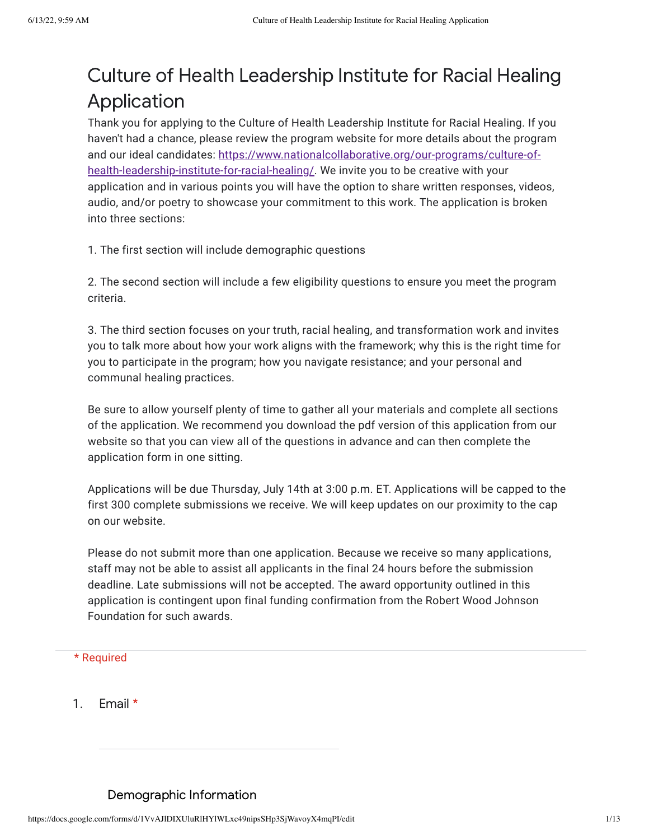# Culture of Health Leadership Institute for Racial Healing Application

Thank you for applying to the Culture of Health Leadership Institute for Racial Healing. If you haven't had a chance, please review the program website for more details about the program and our ideal candidates: [https://www.nationalcollaborative.org/our-programs/culture-of](https://www.nationalcollaborative.org/our-programs/culture-of-health-leadership-institute-for-racial-healing/)health-leadership-institute-for-racial-healing/. We invite you to be creative with your application and in various points you will have the option to share written responses, videos, audio, and/or poetry to showcase your commitment to this work. The application is broken into three sections:

1. The first section will include demographic questions

2. The second section will include a few eligibility questions to ensure you meet the program criteria.

3. The third section focuses on your truth, racial healing, and transformation work and invites you to talk more about how your work aligns with the framework; why this is the right time for you to participate in the program; how you navigate resistance; and your personal and communal healing practices.

Be sure to allow yourself plenty of time to gather all your materials and complete all sections of the application. We recommend you download the pdf version of this application from our website so that you can view all of the questions in advance and can then complete the application form in one sitting.

Applications will be due Thursday, July 14th at 3:00 p.m. ET. Applications will be capped to the first 300 complete submissions we receive. We will keep updates on our proximity to the cap on our website.

Please do not submit more than one application. Because we receive so many applications, staff may not be able to assist all applicants in the final 24 hours before the submission deadline. Late submissions will not be accepted. The award opportunity outlined in this application is contingent upon final funding confirmation from the Robert Wood Johnson Foundation for such awards.

#### \* Required

1. Email \*

#### Demographic Information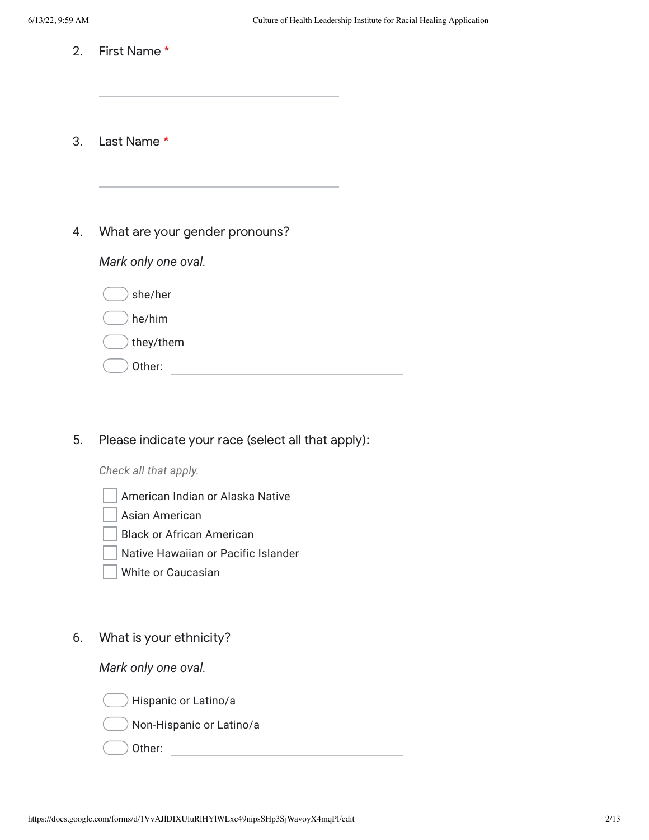- 2. First Name \*
- 3. Last Name \*
- 4. What are your gender pronouns?

*Mark only one oval.*

| she/her   |  |
|-----------|--|
| he/him    |  |
| they/them |  |
| Other:    |  |

5. Please indicate your race (select all that apply):

*Check all that apply.*

- American Indian or Alaska Native
- Asian American
- Black or African American
- Native Hawaiian or Pacific Islander
- White or Caucasian
- 6. What is your ethnicity?

*Mark only one oval.*





Other: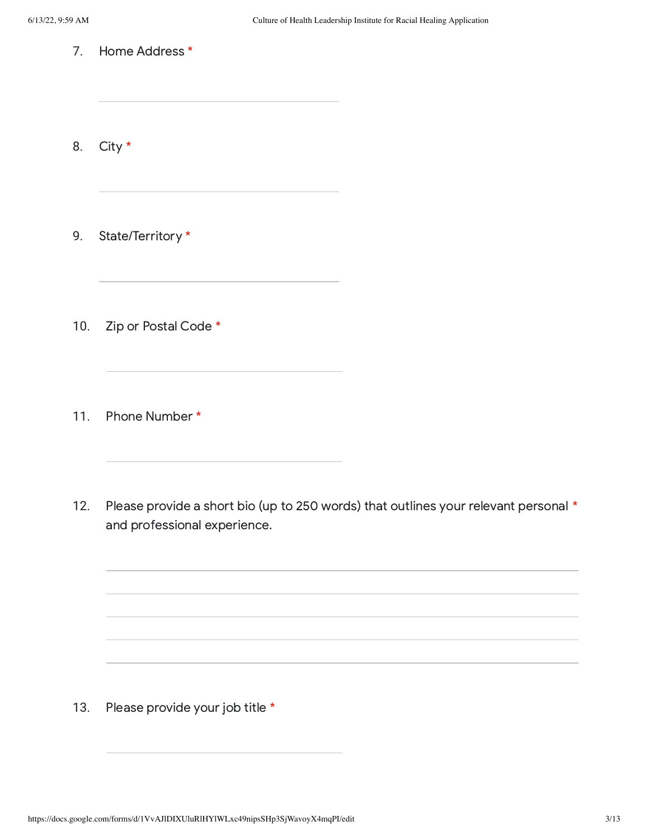7. Home Address \*

8. City \*

9. State/Territory \*

10. Zip or Postal Code \*

11. Phone Number \*

12. Please provide a short bio (up to 250 words) that outlines your relevant personal \* and professional experience.

13. Please provide your job title \*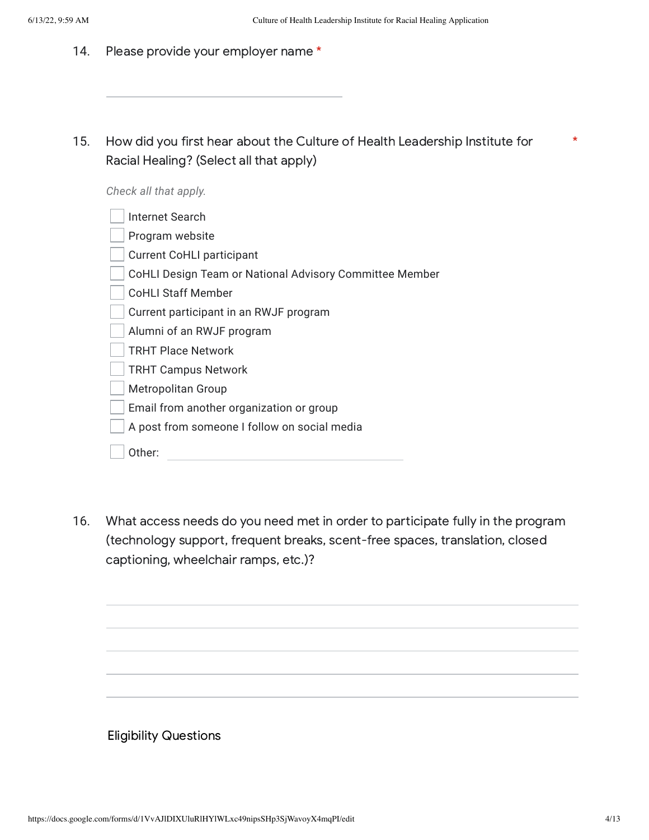- 14. Please provide your employer name \*
- 15. How did you first hear about the Culture of Health Leadership Institute for Racial Healing? (Select all that apply)

*Check all that apply.*

| Internet Search                                         |
|---------------------------------------------------------|
| Program website                                         |
| <b>Current CoHLI participant</b>                        |
| CoHLI Design Team or National Advisory Committee Member |
| <b>CoHLI Staff Member</b>                               |
| Current participant in an RWJF program                  |
| Alumni of an RWJF program                               |
| <b>TRHT Place Network</b>                               |
| <b>TRHT Campus Network</b>                              |
| Metropolitan Group                                      |
| Email from another organization or group                |
| A post from someone I follow on social media            |
| Other:                                                  |

16. What access needs do you need met in order to participate fully in the program (technology support, frequent breaks, scent-free spaces, translation, closed captioning, wheelchair ramps, etc.)?

Eligibility Questions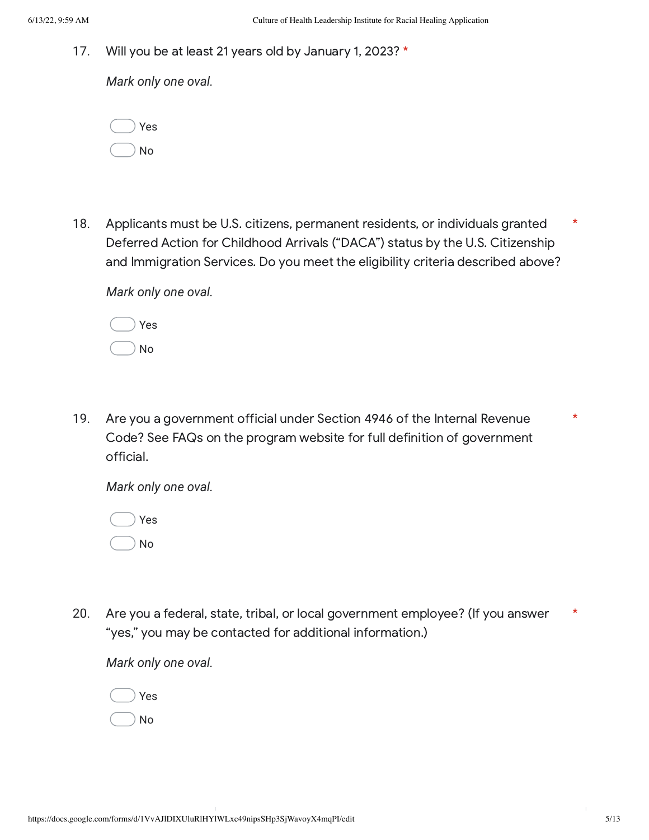17. Will you be at least 21 years old by January 1, 2023? \*

*Mark only one oval.*

| Yes |
|-----|
| No  |

18. Applicants must be U.S. citizens, permanent residents, or individuals granted Deferred Action for Childhood Arrivals ("DACA") status by the U.S. Citizenship and Immigration Services. Do you meet the eligibility criteria described above? \*

*Mark only one oval.*

| Yes |  |
|-----|--|
| No  |  |

19. Are you a government official under Section 4946 of the Internal Revenue Code? See FAQs on the program website for full definition of government official.

*Mark only one oval.*



20. Are you a federal, state, tribal, or local government employee? (If you answer "yes," you may be contacted for additional information.) \*

*Mark only one oval.*

Yes No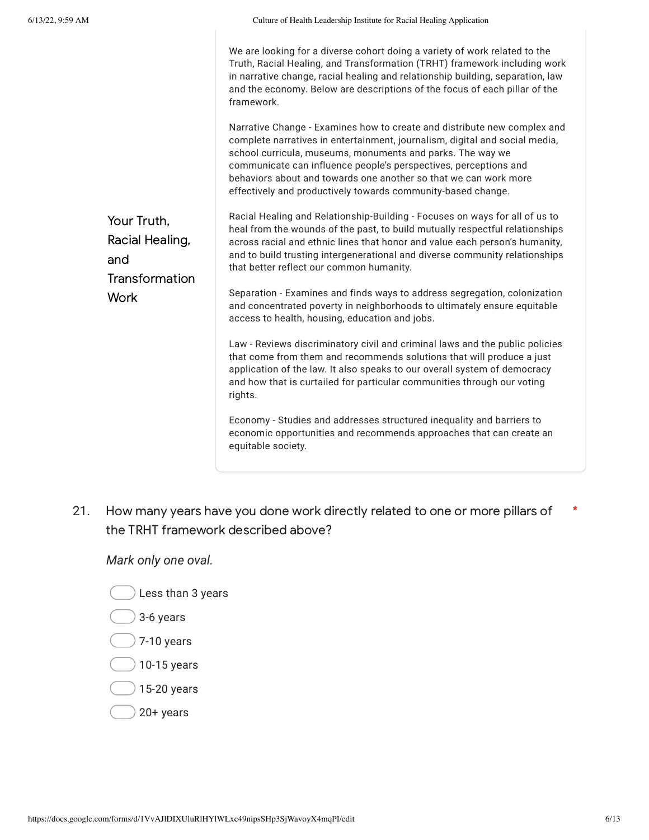| Your Truth,<br>Racial Healing,<br>and<br>Transformation<br><b>Work</b> | We are looking for a diverse cohort doing a variety of work related to the<br>Truth, Racial Healing, and Transformation (TRHT) framework including work<br>in narrative change, racial healing and relationship building, separation, law<br>and the economy. Below are descriptions of the focus of each pillar of the<br>framework.                                                                                         |
|------------------------------------------------------------------------|-------------------------------------------------------------------------------------------------------------------------------------------------------------------------------------------------------------------------------------------------------------------------------------------------------------------------------------------------------------------------------------------------------------------------------|
|                                                                        | Narrative Change - Examines how to create and distribute new complex and<br>complete narratives in entertainment, journalism, digital and social media,<br>school curricula, museums, monuments and parks. The way we<br>communicate can influence people's perspectives, perceptions and<br>behaviors about and towards one another so that we can work more<br>effectively and productively towards community-based change. |
|                                                                        | Racial Healing and Relationship-Building - Focuses on ways for all of us to<br>heal from the wounds of the past, to build mutually respectful relationships<br>across racial and ethnic lines that honor and value each person's humanity,<br>and to build trusting intergenerational and diverse community relationships<br>that better reflect our common humanity.                                                         |
|                                                                        | Separation - Examines and finds ways to address segregation, colonization<br>and concentrated poverty in neighborhoods to ultimately ensure equitable<br>access to health, housing, education and jobs.                                                                                                                                                                                                                       |
|                                                                        | Law - Reviews discriminatory civil and criminal laws and the public policies<br>that come from them and recommends solutions that will produce a just<br>application of the law. It also speaks to our overall system of democracy<br>and how that is curtailed for particular communities through our voting<br>rights.                                                                                                      |
|                                                                        | Economy - Studies and addresses structured inequality and barriers to<br>economic opportunities and recommends approaches that can create an<br>equitable society.                                                                                                                                                                                                                                                            |

21. How many years have you done work directly related to one or more pillars of the TRHT framework described above? \*

*Mark only one oval.*

 $\hat{z}$  Less than 3 years

 $\big)$  3-6 years

- $\bigcirc$  7-10 years
- $\big)$  10-15 years
- 15-20 years
- $20+$  years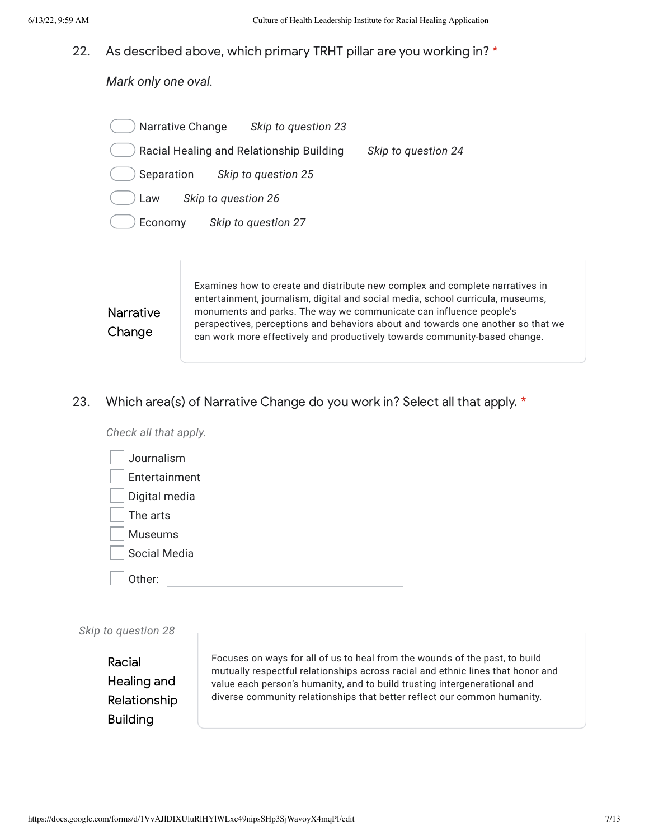#### 22. As described above, which primary TRHT pillar are you working in? \*

*Mark only one oval.*

| <b>Narrative Change</b>                  | Skip to question 23 |                     |
|------------------------------------------|---------------------|---------------------|
| Racial Healing and Relationship Building |                     | Skip to question 24 |
| Separation                               | Skip to question 25 |                     |
| Law                                      | Skip to question 26 |                     |
| Economy                                  | Skip to question 27 |                     |
|                                          |                     |                     |
|                                          |                     |                     |

**Narrative** Change

Examines how to create and distribute new complex and complete narratives in entertainment, journalism, digital and social media, school curricula, museums, monuments and parks. The way we communicate can influence people's perspectives, perceptions and behaviors about and towards one another so that we can work more effectively and productively towards community-based change.

23. Which area(s) of Narrative Change do you work in? Select all that apply. \*

Other: *Check all that apply.* Journalism Entertainment Digital media The arts Museums Social Media

|  |  | Skip to question 28 |  |
|--|--|---------------------|--|
|--|--|---------------------|--|

Racial Healing and Relationship Building

Focuses on ways for all of us to heal from the wounds of the past, to build mutually respectful relationships across racial and ethnic lines that honor and value each person's humanity, and to build trusting intergenerational and diverse community relationships that better reflect our common humanity.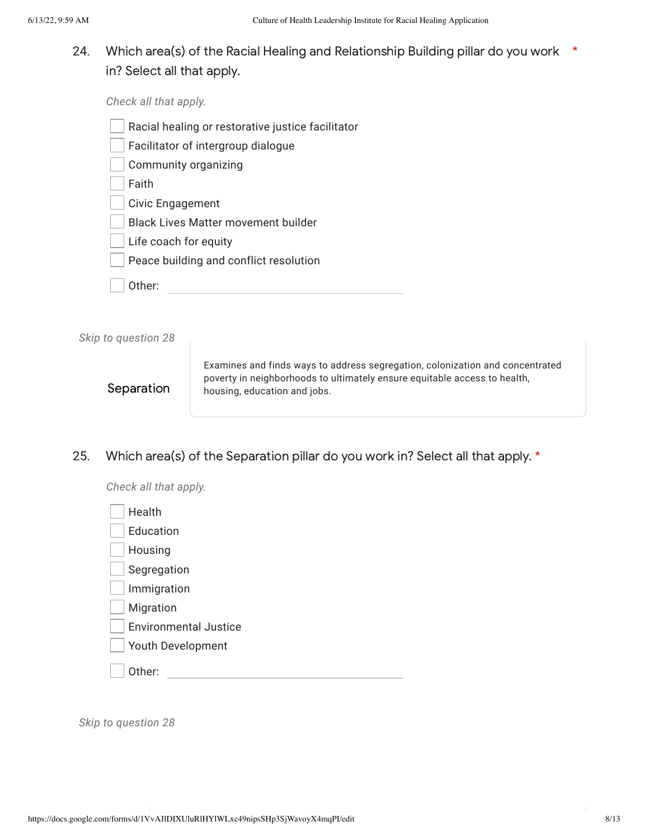24. Which area(s) of the Racial Healing and Relationship Building pillar do you work  $*$ in? Select all that apply.

*Check all that apply.*

- Racial healing or restorative justice facilitator
- Facilitator of intergroup dialogue
- Community organizing

Faith

- Civic Engagement
- Black Lives Matter movement builder
- Life coach for equity
- Peace building and conflict resolution
- Other:

*Skip to question 28*

### Separation

Examines and finds ways to address segregation, colonization and concentrated poverty in neighborhoods to ultimately ensure equitable access to health, housing, education and jobs.

25. Which area(s) of the Separation pillar do you work in? Select all that apply. \*

*Check all that apply.*

*Skip to question 28*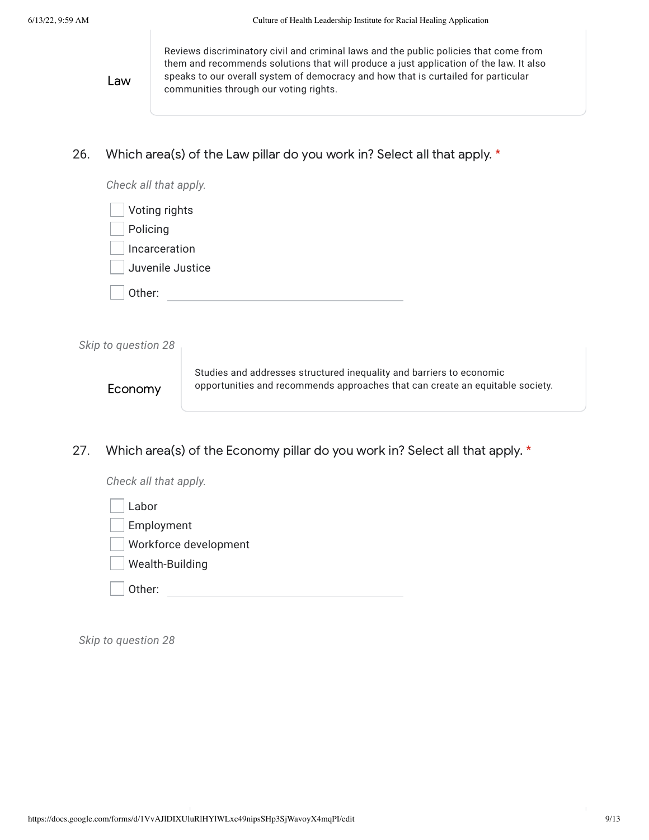Law

Reviews discriminatory civil and criminal laws and the public policies that come from them and recommends solutions that will produce a just application of the law. It also speaks to our overall system of democracy and how that is curtailed for particular communities through our voting rights.

26. Which area(s) of the Law pillar do you work in? Select all that apply. \*

| Check all that apply. |
|-----------------------|
| Voting rights         |
| Policing              |
| Incarceration         |
| Juvenile Justice      |
| Other:                |
|                       |

*Skip to question 28* Economy Studies and addresses structured inequality and barriers to economic opportunities and recommends approaches that can create an equitable society.

27. Which area(s) of the Economy pillar do you work in? Select all that apply.  $*$ 

| Check all that apply. |
|-----------------------|
| Labor                 |
| Employment            |
| Workforce development |
| Wealth-Building       |
| Other:                |

*Skip to question 28*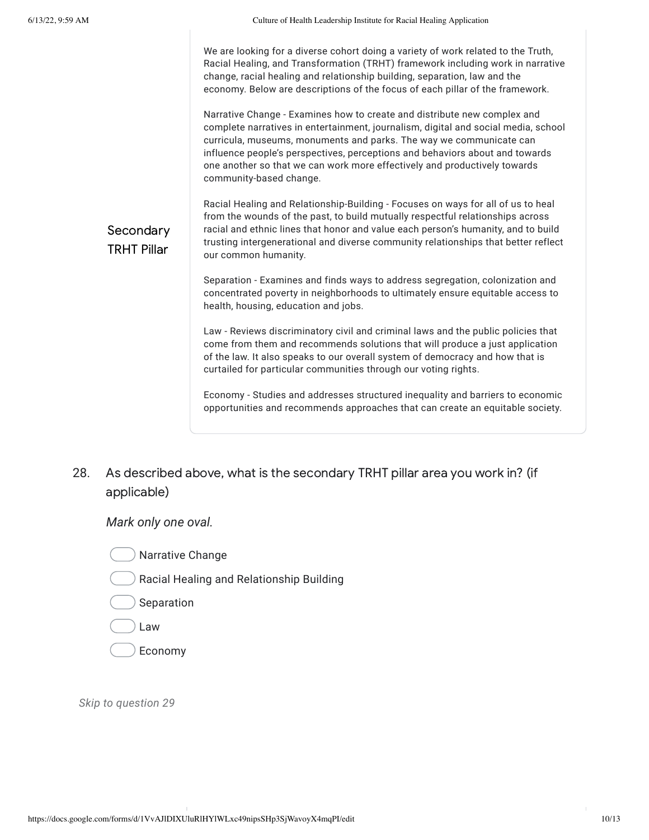|                                 | We are looking for a diverse cohort doing a variety of work related to the Truth,<br>Racial Healing, and Transformation (TRHT) framework including work in narrative<br>change, racial healing and relationship building, separation, law and the<br>economy. Below are descriptions of the focus of each pillar of the framework.                                                                                            |
|---------------------------------|-------------------------------------------------------------------------------------------------------------------------------------------------------------------------------------------------------------------------------------------------------------------------------------------------------------------------------------------------------------------------------------------------------------------------------|
| Secondary<br><b>TRHT Pillar</b> | Narrative Change - Examines how to create and distribute new complex and<br>complete narratives in entertainment, journalism, digital and social media, school<br>curricula, museums, monuments and parks. The way we communicate can<br>influence people's perspectives, perceptions and behaviors about and towards<br>one another so that we can work more effectively and productively towards<br>community-based change. |
|                                 | Racial Healing and Relationship-Building - Focuses on ways for all of us to heal<br>from the wounds of the past, to build mutually respectful relationships across<br>racial and ethnic lines that honor and value each person's humanity, and to build<br>trusting intergenerational and diverse community relationships that better reflect<br>our common humanity.                                                         |
|                                 | Separation - Examines and finds ways to address segregation, colonization and<br>concentrated poverty in neighborhoods to ultimately ensure equitable access to<br>health, housing, education and jobs.                                                                                                                                                                                                                       |
|                                 | Law - Reviews discriminatory civil and criminal laws and the public policies that<br>come from them and recommends solutions that will produce a just application<br>of the law. It also speaks to our overall system of democracy and how that is<br>curtailed for particular communities through our voting rights.                                                                                                         |
|                                 | Economy - Studies and addresses structured inequality and barriers to economic<br>opportunities and recommends approaches that can create an equitable society.                                                                                                                                                                                                                                                               |

28. As described above, what is the secondary TRHT pillar area you work in? (if applicable)

*Mark only one oval.*



Racial Healing and Relationship Building

 $\big)$  Separation

- Law
- Economy

*Skip to question 29*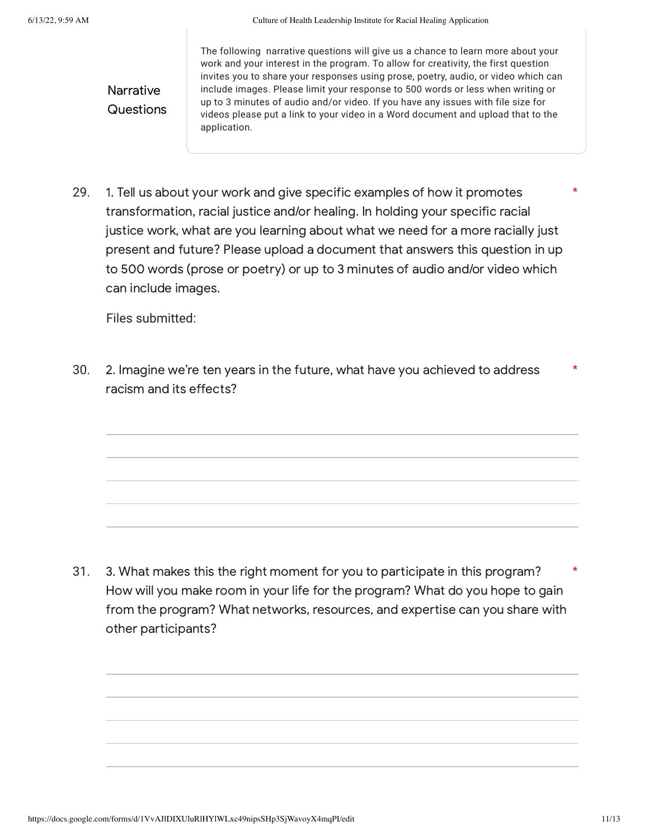**Narrative Questions**  The following narrative questions will give us a chance to learn more about your work and your interest in the program. To allow for creativity, the first question invites you to share your responses using prose, poetry, audio, or video which can include images. Please limit your response to 500 words or less when writing or up to 3 minutes of audio and/or video. If you have any issues with file size for videos please put a link to your video in a Word document and upload that to the application.

29. 1. Tell us about your work and give specific examples of how it promotes transformation, racial justice and/or healing. In holding your specific racial justice work, what are you learning about what we need for a more racially just present and future? Please upload a document that answers this question in up to 500 words (prose or poetry) or up to 3 minutes of audio and/or video which can include images.

Files submitted:

30. 2. Imagine we're ten years in the future, what have you achieved to address racism and its effects? \*

31. 3. What makes this the right moment for you to participate in this program? How will you make room in your life for the program? What do you hope to gain from the program? What networks, resources, and expertise can you share with other participants? \*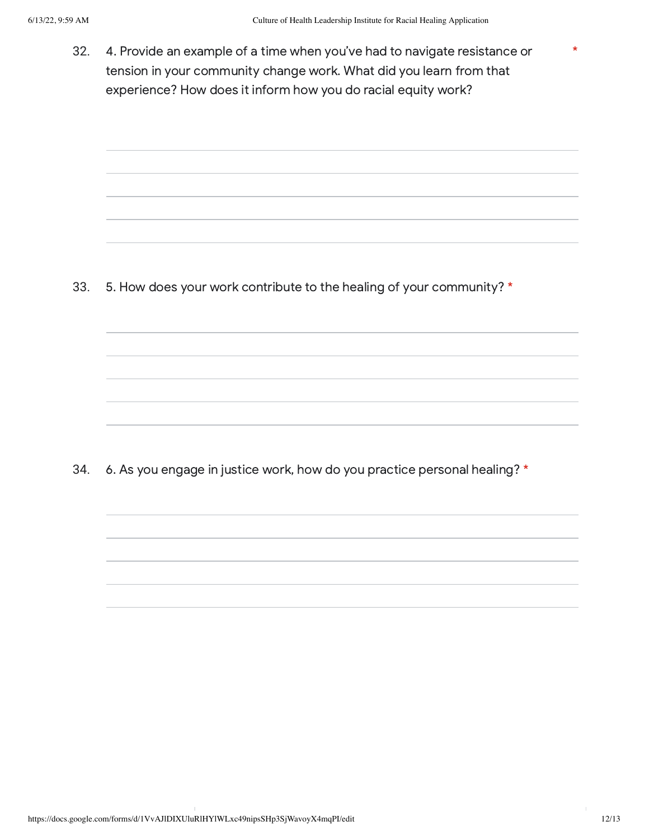32. 4. Provide an example of a time when you've had to navigate resistance or tension in your community change work. What did you learn from that experience? How does it inform how you do racial equity work?

33. 5. How does your work contribute to the healing of your community? \*

34. 6. As you engage in justice work, how do you practice personal healing? \*